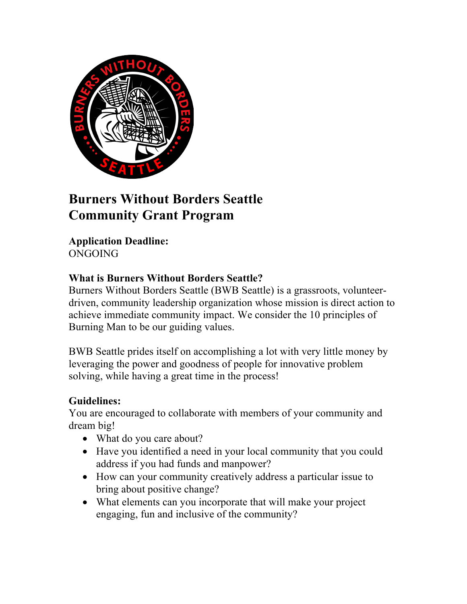

# **Burners Without Borders Seattle Community Grant Program**

**Application Deadline:** ONGOING

### **What is Burners Without Borders Seattle?**

Burners Without Borders Seattle (BWB Seattle) is a grassroots, volunteerdriven, community leadership organization whose mission is direct action to achieve immediate community impact. We consider the 10 principles of Burning Man to be our guiding values.

BWB Seattle prides itself on accomplishing a lot with very little money by leveraging the power and goodness of people for innovative problem solving, while having a great time in the process!

# **Guidelines:**

You are encouraged to collaborate with members of your community and dream big!

- What do you care about?
- Have you identified a need in your local community that you could address if you had funds and manpower?
- How can your community creatively address a particular issue to bring about positive change?
- What elements can you incorporate that will make your project engaging, fun and inclusive of the community?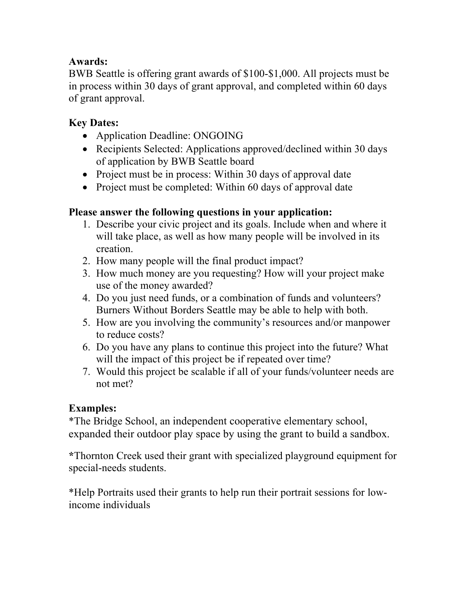## **Awards:**

BWB Seattle is offering grant awards of \$100-\$1,000. All projects must be in process within 30 days of grant approval, and completed within 60 days of grant approval.

# **Key Dates:**

- Application Deadline: ONGOING
- Recipients Selected: Applications approved/declined within 30 days of application by BWB Seattle board
- Project must be in process: Within 30 days of approval date
- Project must be completed: Within 60 days of approval date

#### **Please answer the following questions in your application:**

- 1. Describe your civic project and its goals. Include when and where it will take place, as well as how many people will be involved in its creation.
- 2. How many people will the final product impact?
- 3. How much money are you requesting? How will your project make use of the money awarded?
- 4. Do you just need funds, or a combination of funds and volunteers? Burners Without Borders Seattle may be able to help with both.
- 5. How are you involving the community's resources and/or manpower to reduce costs?
- 6. Do you have any plans to continue this project into the future? What will the impact of this project be if repeated over time?
- 7. Would this project be scalable if all of your funds/volunteer needs are not met?

#### **Examples:**

\*The Bridge School, an independent cooperative elementary school, expanded their outdoor play space by using the grant to build a sandbox.

**\***Thornton Creek used their grant with specialized playground equipment for special-needs students.

\*Help Portraits used their grants to help run their portrait sessions for lowincome individuals